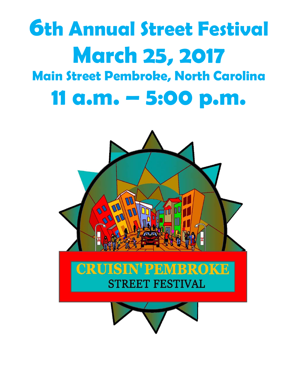## **6th Annual Street Festival March 25, 2017 Main Street Pembroke, North Carolina 11 a.m. – 5:00 p.m.**

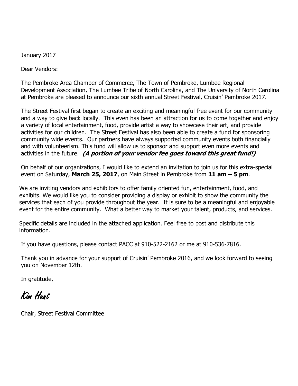January 2017

Dear Vendors:

The Pembroke Area Chamber of Commerce, The Town of Pembroke, Lumbee Regional Development Association, The Lumbee Tribe of North Carolina, and The University of North Carolina at Pembroke are pleased to announce our sixth annual Street Festival, Cruisin' Pembroke 2017.

The Street Festival first began to create an exciting and meaningful free event for our community and a way to give back locally. This even has been an attraction for us to come together and enjoy a variety of local entertainment, food, provide artist a way to showcase their art, and provide activities for our children. The Street Festival has also been able to create a fund for sponsoring community wide events. Our partners have always supported community events both financially and with volunteerism. This fund will allow us to sponsor and support even more events and activities in the future. **(A portion of your vendor fee goes toward this great fund!)**

On behalf of our organizations, I would like to extend an invitation to join us for this extra-special event on Saturday, **March 25, 2017**, on Main Street in Pembroke from **11 am – 5 pm**.

We are inviting vendors and exhibitors to offer family oriented fun, entertainment, food, and exhibits. We would like you to consider providing a display or exhibit to show the community the services that each of you provide throughout the year. It is sure to be a meaningful and enjoyable event for the entire community. What a better way to market your talent, products, and services.

Specific details are included in the attached application. Feel free to post and distribute this information.

If you have questions, please contact PACC at 910-522-2162 or me at 910-536-7816.

Thank you in advance for your support of Cruisin' Pembroke 2016, and we look forward to seeing you on November 12th.

In gratitude,

Kim Hunt

Chair, Street Festival Committee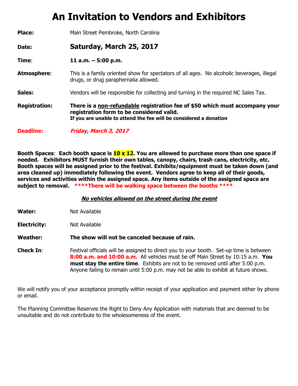## **An Invitation to Vendors and Exhibitors**

| <b>Place:</b>        | Main Street Pembroke, North Carolina                                                                                                                                                           |  |
|----------------------|------------------------------------------------------------------------------------------------------------------------------------------------------------------------------------------------|--|
| Date:                | Saturday, March 25, 2017                                                                                                                                                                       |  |
| Time:                | 11 a.m. $-$ 5:00 p.m.                                                                                                                                                                          |  |
| <b>Atmosphere:</b>   | This is a family oriented show for spectators of all ages. No alcoholic beverages, illegal<br>drugs, or drug paraphernalia allowed.                                                            |  |
| Sales:               | Vendors will be responsible for collecting and turning in the required NC Sales Tax.                                                                                                           |  |
| <b>Registration:</b> | There is a non-refundable registration fee of \$50 which must accompany your<br>registration form to be considered valid.<br>If you are unable to attend the fee will be considered a donation |  |
| <b>Deadline:</b>     | Friday, March 3, 2017                                                                                                                                                                          |  |

**Booth Spaces**: **Each booth space is 10 x 12. You are allowed to purchase more than one space if needed. Exhibitors MUST furnish their own tables, canopy, chairs, trash cans, electricity, etc. Booth spaces will be assigned prior to the festival. Exhibits/equipment must be taken down (and area cleaned up) immediately following the event. Vendors agree to keep all of their goods, services and activities within the assigned space. Any items outside of the assigned space are subject to removal. \*\*\*\*There will be walking space between the booths \*\*\*\***

**No vehicles allowed on the street during the event**

**Water:** Not Available

**Electricity:** Not Available

**Weather: The show will not be canceled because of rain.**

**Check In:** Festival officials will be assigned to direct you to your booth. Set-up time is between **8:00 a.m. and 10:00 a.m.** All vehicles must be off Main Street by 10:15 a.m. **You must stay the entire time**. Exhibits are not to be removed until after 5:00 p.m. Anyone failing to remain until 5:00 p.m. may not be able to exhibit at future shows.

We will notify you of your acceptance promptly within receipt of your application and payment either by phone or email.

The Planning Committee Reserves the Right to Deny Any Application with materials that are deemed to be unsuitable and do not contribute to the wholesomeness of the event.